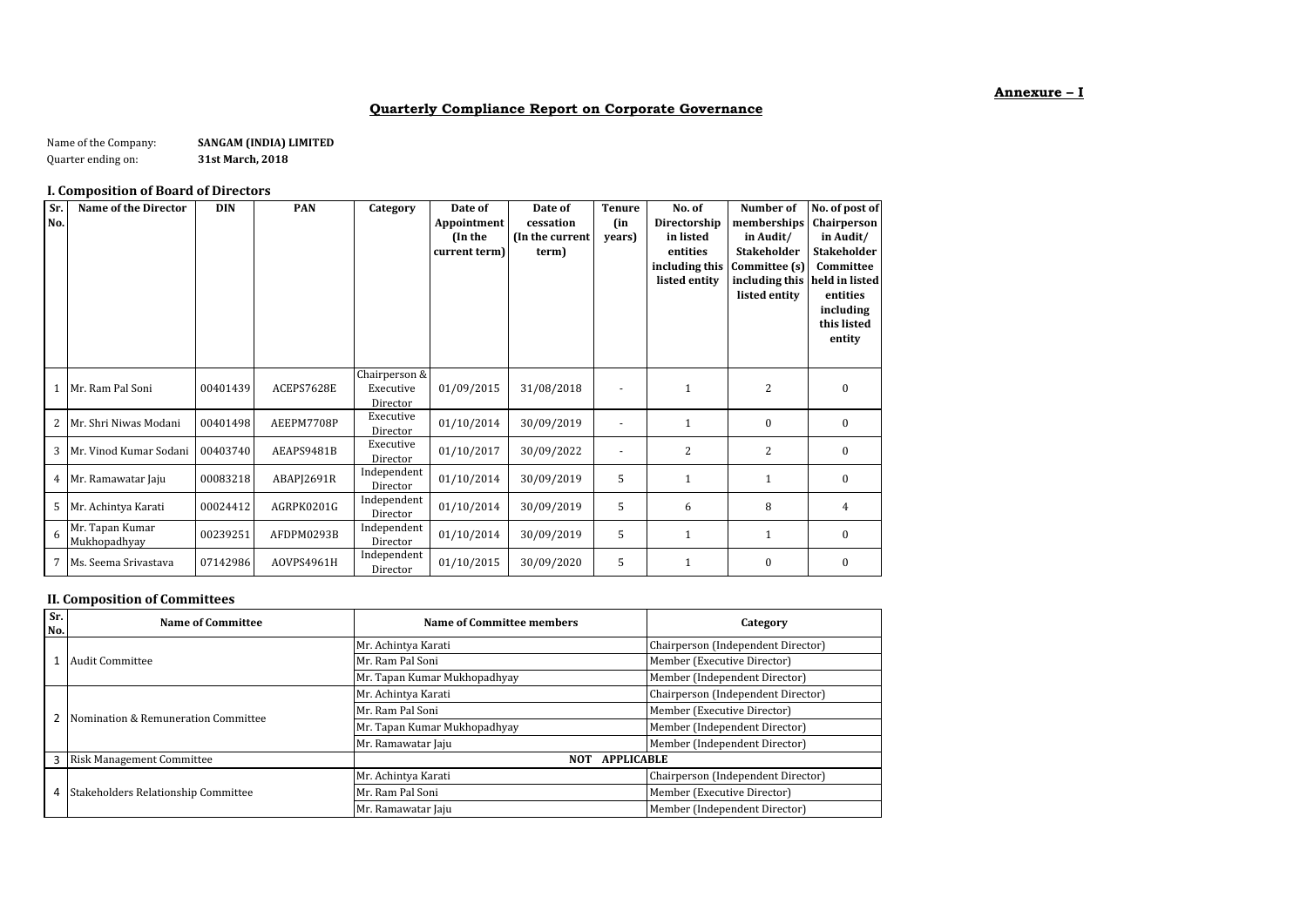# **Annexure – I**

### **Quarterly Compliance Report on Corporate Governance**

Name of the Company: **SANGAM (INDIA) LIMITED**<br>Quarter ending on: **31st March, 2018** Quarter ending on: **31st March, 2018**

### **I. Composition of Board of Directors**

| Sr.<br>No. | <b>Name of the Director</b>     | <b>DIN</b> | <b>PAN</b> | Category                               | Date of<br>Appointment<br>(In the<br>current term) | Date of<br>cessation<br>(In the current<br>term) | <b>Tenure</b><br>(in<br>years) | No. of<br>Directorship<br>in listed<br>entities<br>including this<br>listed entity | Number of<br>memberships<br>in Audit/<br><b>Stakeholder</b><br>Committee (s)<br>including this<br>listed entity | No. of post of<br>Chairperson<br>in Audit/<br><b>Stakeholder</b><br>Committee<br>held in listed<br>entities<br>including<br>this listed<br>entity |
|------------|---------------------------------|------------|------------|----------------------------------------|----------------------------------------------------|--------------------------------------------------|--------------------------------|------------------------------------------------------------------------------------|-----------------------------------------------------------------------------------------------------------------|---------------------------------------------------------------------------------------------------------------------------------------------------|
|            | 1 Mr. Ram Pal Soni              | 00401439   | ACEPS7628E | Chairperson &<br>Executive<br>Director | 01/09/2015                                         | 31/08/2018                                       |                                | $\mathbf{1}$                                                                       | $\overline{2}$                                                                                                  | $\mathbf{0}$                                                                                                                                      |
| 2          | Mr. Shri Niwas Modani           | 00401498   | AEEPM7708P | Executive<br>Director                  | 01/10/2014                                         | 30/09/2019                                       |                                | 1                                                                                  | $\mathbf{0}$                                                                                                    | $\mathbf{0}$                                                                                                                                      |
| 3          | Mr. Vinod Kumar Sodani          | 00403740   | AEAPS9481B | Executive<br>Director                  | 01/10/2017                                         | 30/09/2022                                       |                                | 2                                                                                  | 2                                                                                                               | $\bf{0}$                                                                                                                                          |
|            | 4 Mr. Ramawatar Jaju            | 00083218   | ABAPI2691R | Independent<br>Director                | 01/10/2014                                         | 30/09/2019                                       | 5                              | 1                                                                                  | $\mathbf{1}$                                                                                                    | $\mathbf{0}$                                                                                                                                      |
| 5          | Mr. Achintya Karati             | 00024412   | AGRPK0201G | Independent<br>Director                | 01/10/2014                                         | 30/09/2019                                       | 5                              | 6                                                                                  | 8                                                                                                               | 4                                                                                                                                                 |
| 6          | Mr. Tapan Kumar<br>Mukhopadhyay | 00239251   | AFDPM0293B | Independent<br>Director                | 01/10/2014                                         | 30/09/2019                                       | 5                              | $\mathbf{1}$                                                                       | $\mathbf{1}$                                                                                                    | $\mathbf{0}$                                                                                                                                      |
| 7          | Ms. Seema Srivastava            | 07142986   | AOVPS4961H | Independent<br>Director                | 01/10/2015                                         | 30/09/2020                                       | 5                              | $\mathbf{1}$                                                                       | $\mathbf{0}$                                                                                                    | $\mathbf{0}$                                                                                                                                      |

### **II. Composition of Committees**

| Sr.<br>No. | <b>Name of Committee</b>            | Name of Committee members       | Category                           |  |
|------------|-------------------------------------|---------------------------------|------------------------------------|--|
|            |                                     | Mr. Achintya Karati             | Chairperson (Independent Director) |  |
|            | Audit Committee                     | Mr. Ram Pal Soni                | Member (Executive Director)        |  |
|            |                                     | Mr. Tapan Kumar Mukhopadhyay    | Member (Independent Director)      |  |
|            |                                     | Mr. Achintya Karati             | Chairperson (Independent Director) |  |
|            | Nomination & Remuneration Committee | Mr. Ram Pal Soni                | Member (Executive Director)        |  |
|            |                                     | Mr. Tapan Kumar Mukhopadhyay    | Member (Independent Director)      |  |
|            |                                     | Mr. Ramawatar Jaju              | Member (Independent Director)      |  |
| 3          | <b>Risk Management Committee</b>    | <b>APPLICABLE</b><br><b>NOT</b> |                                    |  |
|            |                                     | Mr. Achintya Karati             | Chairperson (Independent Director) |  |
| 4          | Stakeholders Relationship Committee | Mr. Ram Pal Soni                | Member (Executive Director)        |  |
|            |                                     | Mr. Ramawatar Jaju              | Member (Independent Director)      |  |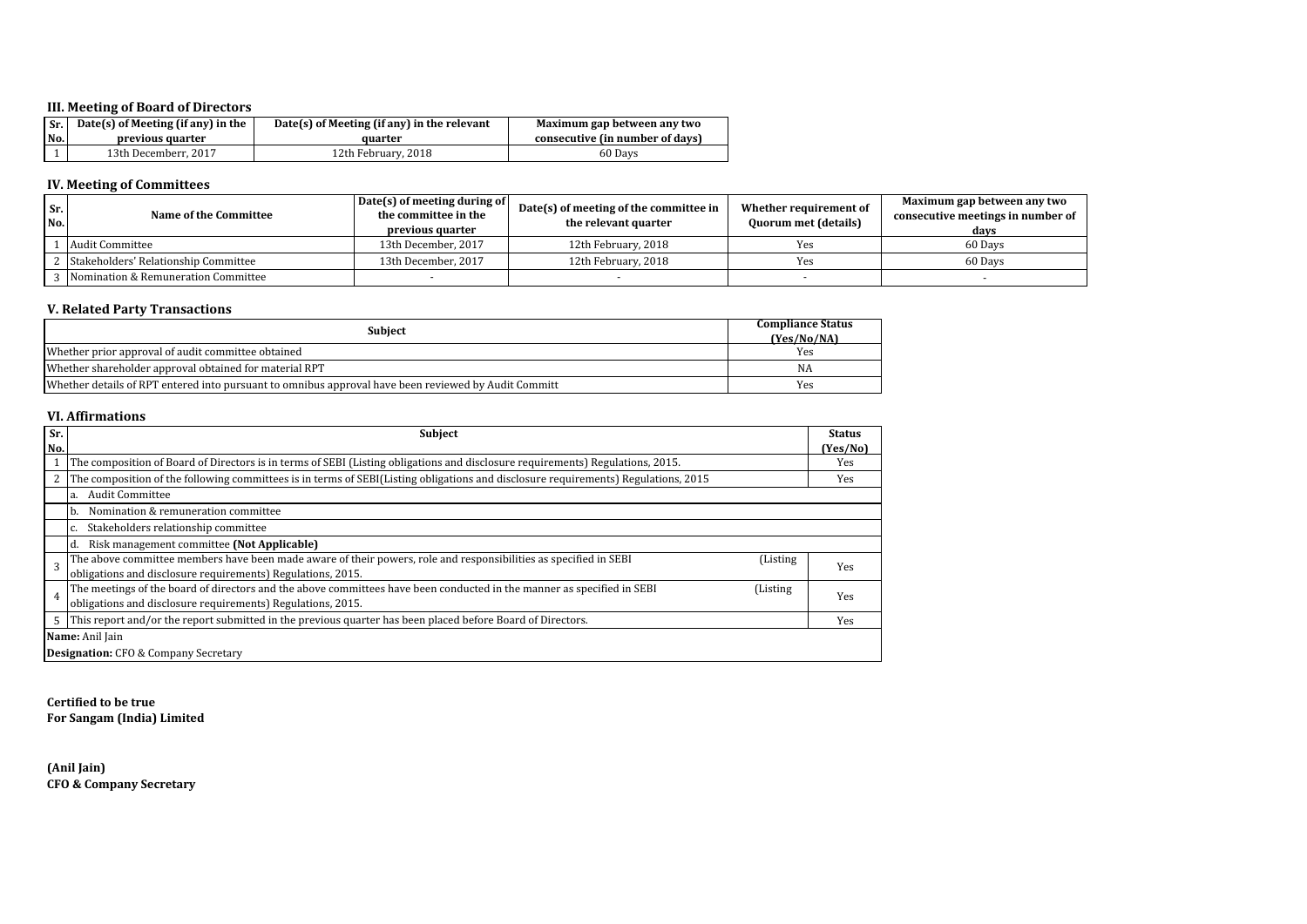# **III. Meeting of Board of Directors**

| Sr. | Date(s) of Meeting (if any) in the | Date(s) of Meeting (if any) in the relevant | Maximum gap between any two     |  |
|-----|------------------------------------|---------------------------------------------|---------------------------------|--|
| No. | previous quarter                   | quarter                                     | consecutive (in number of days) |  |
|     | 13th Decemberr, 2017               | 12th February, 2018                         | 60 Days                         |  |

# **IV. Meeting of Committees**

| Sr.<br>No. | <b>Name of the Committee</b>         | Date(s) of meeting during of<br>the committee in the<br>previous quarter | Date(s) of meeting of the committee in<br>the relevant quarter | Whether requirement of<br><b>Quorum met (details)</b> | Maximum gap between any two<br>consecutive meetings in number of<br>days |
|------------|--------------------------------------|--------------------------------------------------------------------------|----------------------------------------------------------------|-------------------------------------------------------|--------------------------------------------------------------------------|
|            | Audit Committee                      | 13th December, 2017                                                      | 12th February, 2018                                            | Yes                                                   | 60 Days                                                                  |
|            | Stakeholders' Relationship Committee | 13th December, 2017                                                      | 12th February, 2018                                            | Yes                                                   | 60 Days                                                                  |
|            | Nomination & Remuneration Committee  |                                                                          |                                                                |                                                       |                                                                          |

# **V. Related Party Transactions**

| <b>Subject</b>                                                                                       | <b>Compliance Status</b><br>(Yes/No/NA) |
|------------------------------------------------------------------------------------------------------|-----------------------------------------|
| Whether prior approval of audit committee obtained                                                   | Yes                                     |
| Whether shareholder approval obtained for material RPT                                               | NA                                      |
| Whether details of RPT entered into pursuant to omnibus approval have been reviewed by Audit Committ | Yes                                     |

### **VI. Affirmations**

| Sr.            | <b>Subject</b>                                                                                                                     |     |  |  |  |  |
|----------------|------------------------------------------------------------------------------------------------------------------------------------|-----|--|--|--|--|
| No.            |                                                                                                                                    |     |  |  |  |  |
|                | The composition of Board of Directors is in terms of SEBI (Listing obligations and disclosure requirements) Regulations, 2015.     |     |  |  |  |  |
| 2              | The composition of the following committees is in terms of SEBI(Listing obligations and disclosure requirements) Regulations, 2015 | Yes |  |  |  |  |
|                | <b>Audit Committee</b>                                                                                                             |     |  |  |  |  |
|                | Nomination & remuneration committee<br>b.                                                                                          |     |  |  |  |  |
|                | Stakeholders relationship committee                                                                                                |     |  |  |  |  |
|                | Risk management committee (Not Applicable)<br>Id.                                                                                  |     |  |  |  |  |
| 3              | The above committee members have been made aware of their powers, role and responsibilities as specified in SEBI<br>(Listing       | Yes |  |  |  |  |
|                | obligations and disclosure requirements) Regulations, 2015.                                                                        |     |  |  |  |  |
| $\overline{4}$ | The meetings of the board of directors and the above committees have been conducted in the manner as specified in SEBI<br>(Listing | Yes |  |  |  |  |
|                | obligations and disclosure requirements) Regulations, 2015.                                                                        |     |  |  |  |  |
| 5              | This report and/or the report submitted in the previous quarter has been placed before Board of Directors.                         | Yes |  |  |  |  |
|                | Name: Anil Jain                                                                                                                    |     |  |  |  |  |
|                | <b>Designation:</b> CFO & Company Secretary                                                                                        |     |  |  |  |  |

**Certified to be true For Sangam (India) Limited**

**(Anil Jain) CFO & Company Secretary**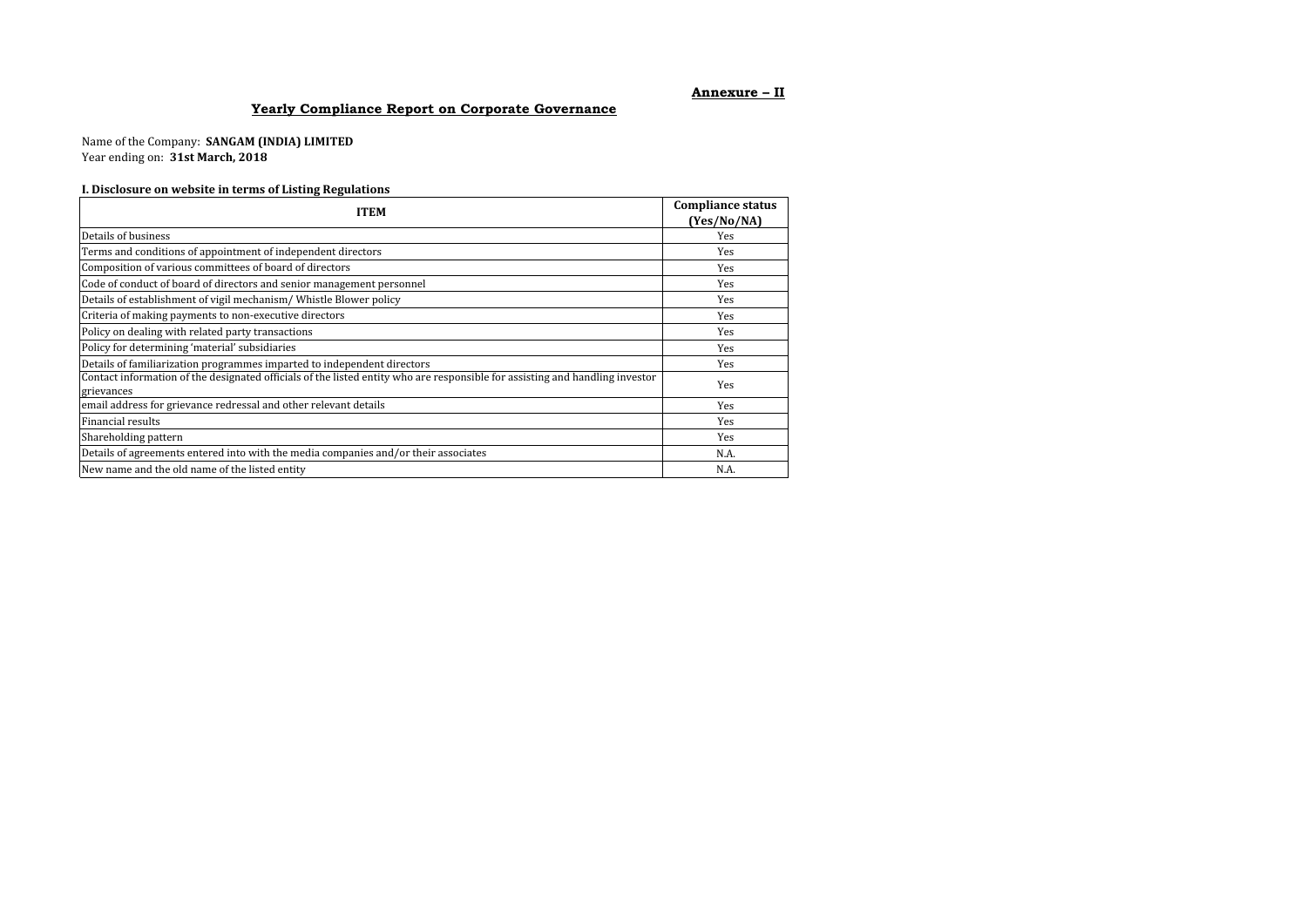### **Annexure – II**

# **Yearly Compliance Report on Corporate Governance**

Name of the Company: **SANGAM (INDIA) LIMITED** Year ending on: **31st March, 2018**

### **I. Disclosure on website in terms of Listing Regulations**

| <b>ITEM</b>                                                                                                                                | <b>Compliance status</b><br>(Yes/No/NA) |
|--------------------------------------------------------------------------------------------------------------------------------------------|-----------------------------------------|
| Details of business                                                                                                                        | Yes                                     |
| Terms and conditions of appointment of independent directors                                                                               | Yes                                     |
| Composition of various committees of board of directors                                                                                    | Yes                                     |
| Code of conduct of board of directors and senior management personnel                                                                      | Yes                                     |
| Details of establishment of vigil mechanism/ Whistle Blower policy                                                                         | Yes                                     |
| Criteria of making payments to non-executive directors                                                                                     | Yes                                     |
| Policy on dealing with related party transactions                                                                                          | Yes                                     |
| Policy for determining 'material' subsidiaries                                                                                             | Yes                                     |
| Details of familiarization programmes imparted to independent directors                                                                    | Yes                                     |
| Contact information of the designated officials of the listed entity who are responsible for assisting and handling investor<br>grievances | Yes                                     |
| email address for grievance redressal and other relevant details                                                                           | Yes                                     |
| Financial results                                                                                                                          | Yes                                     |
| Shareholding pattern                                                                                                                       | Yes                                     |
| Details of agreements entered into with the media companies and/or their associates                                                        | N.A.                                    |
| New name and the old name of the listed entity                                                                                             | N.A.                                    |